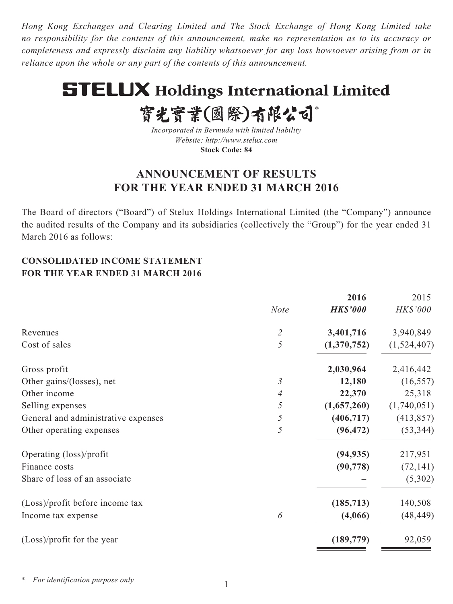*Hong Kong Exchanges and Clearing Limited and The Stock Exchange of Hong Kong Limited take no responsibility for the contents of this announcement, make no representation as to its accuracy or completeness and expressly disclaim any liability whatsoever for any loss howsoever arising from or in reliance upon the whole or any part of the contents of this announcement.*

# **STELUX Holdings International Limited**

實光實業(國際)有限公司\*

*Incorporated in Bermuda with limited liability Website: http://www.stelux.com* **Stock Code: 84**

# **ANNOUNCEMENT OF RESULTS FOR THE YEAR ENDED 31 MARCH 2016**

The Board of directors ("Board") of Stelux Holdings International Limited (the "Company") announce the audited results of the Company and its subsidiaries (collectively the "Group") for the year ended 31 March 2016 as follows:

# **CONSOLIDATED INCOME STATEMENT FOR THE YEAR ENDED 31 MARCH 2016**

|                             | 2016            | 2015                                 |
|-----------------------------|-----------------|--------------------------------------|
| <b>Note</b>                 | <b>HK\$'000</b> | HK\$'000                             |
| $\mathcal{Z}_{\mathcal{C}}$ | 3,401,716       | 3,940,849                            |
| 5                           | (1,370,752)     | (1,524,407)                          |
|                             | 2,030,964       | 2,416,442                            |
| $\mathfrak{Z}$              | 12,180          | (16, 557)                            |
| 4                           | 22,370          | 25,318                               |
| 5                           | (1,657,260)     | (1,740,051)                          |
| 5                           | (406, 717)      | (413, 857)                           |
| 5                           | (96, 472)       | (53, 344)                            |
|                             |                 | 217,951                              |
|                             |                 | (72, 141)                            |
|                             |                 | (5,302)                              |
|                             |                 | 140,508                              |
| 6                           | (4,066)         | (48, 449)                            |
|                             | (189, 779)      | 92,059                               |
|                             |                 | (94, 935)<br>(90, 778)<br>(185, 713) |

*\* For identification purpose only*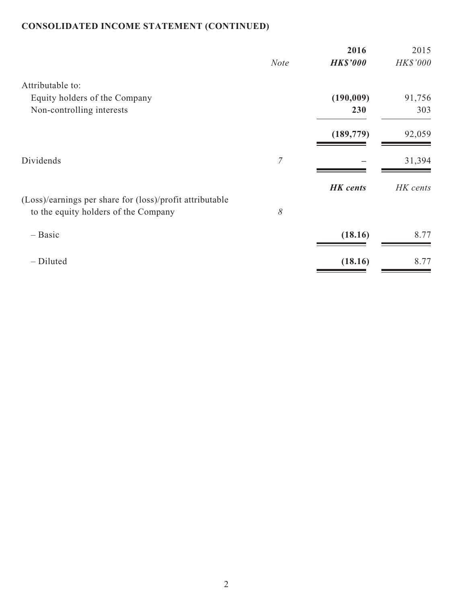# **CONSOLIDATED INCOME STATEMENT (CONTINUED)**

| HK\$'000 |
|----------|
|          |
|          |
| 91,756   |
| 303      |
| 92,059   |
| 31,394   |
| HK cents |
|          |
|          |
| 8.77     |
| 8.77     |
|          |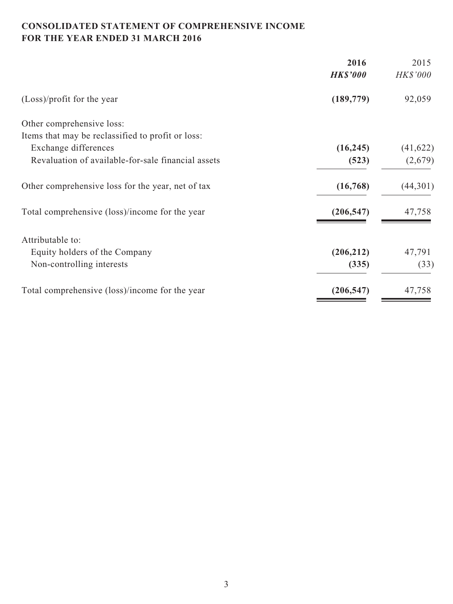# **CONSOLIDATED STATEMENT OF COMPREHENSIVE INCOME FOR THE YEAR ENDED 31 MARCH 2016**

| HK\$'000<br>92,059 |
|--------------------|
|                    |
|                    |
|                    |
|                    |
| (41, 622)          |
| (2,679)            |
| (44,301)           |
| 47,758             |
|                    |
| 47,791             |
| (33)               |
| 47,758             |
|                    |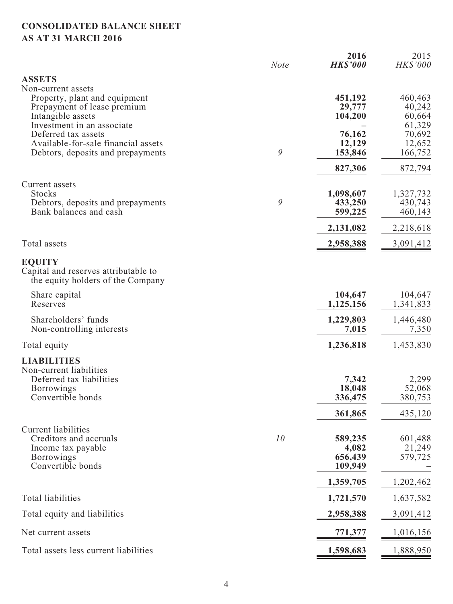# **CONSOLIDATED BALANCE SHEET AS AT 31 MARCH 2016**

|                                                                                                                               | <b>Note</b> | 2016<br><b>HK\$'000</b>                | 2015<br>HK\$'000                      |
|-------------------------------------------------------------------------------------------------------------------------------|-------------|----------------------------------------|---------------------------------------|
| <b>ASSETS</b>                                                                                                                 |             |                                        |                                       |
| Non-current assets<br>Property, plant and equipment<br>Prepayment of lease premium<br>Intangible assets                       |             | 451,192<br>29,777<br>104,200           | 460,463<br>40,242<br>60,664           |
| Investment in an associate<br>Deferred tax assets<br>Available-for-sale financial assets<br>Debtors, deposits and prepayments | 9           | 76,162<br>12,129<br>153,846            | 61,329<br>70,692<br>12,652<br>166,752 |
|                                                                                                                               |             | 827,306                                | 872,794                               |
| Current assets<br><b>Stocks</b><br>Debtors, deposits and prepayments<br>Bank balances and cash                                | 9           | 1,098,607<br>433,250<br>599,225        | 1,327,732<br>430,743<br>460,143       |
|                                                                                                                               |             | 2,131,082                              | 2,218,618                             |
| Total assets                                                                                                                  |             | 2,958,388                              | 3,091,412                             |
| <b>EQUITY</b><br>Capital and reserves attributable to<br>the equity holders of the Company                                    |             |                                        |                                       |
| Share capital<br>Reserves                                                                                                     |             | 104,647<br>1,125,156                   | 104,647<br>1,341,833                  |
| Shareholders' funds<br>Non-controlling interests                                                                              |             | 1,229,803<br>7,015                     | 1,446,480<br>7,350                    |
| Total equity                                                                                                                  |             | 1,236,818                              | 1,453,830                             |
| <b>LIABILITIES</b><br>Non-current liabilities<br>Deferred tax liabilities<br><b>Borrowings</b><br>Convertible bonds           |             | 7,342<br>18,048<br>336,475             | 2,299<br>52,068<br>380,753            |
|                                                                                                                               |             | 361,865                                | 435,120                               |
| Current liabilities<br>Creditors and accruals<br>Income tax payable<br><b>Borrowings</b><br>Convertible bonds                 | 10          | 589,235<br>4,082<br>656,439<br>109,949 | 601,488<br>21,249<br>579,725          |
|                                                                                                                               |             | 1,359,705                              | 1,202,462                             |
| <b>Total liabilities</b>                                                                                                      |             | 1,721,570                              | 1,637,582                             |
| Total equity and liabilities                                                                                                  |             | 2,958,388                              | <u>3,091,412</u>                      |
| Net current assets                                                                                                            |             | <u>771,377</u>                         | 1,016,156                             |
| Total assets less current liabilities                                                                                         |             | 1,598,683                              | 1,888,950                             |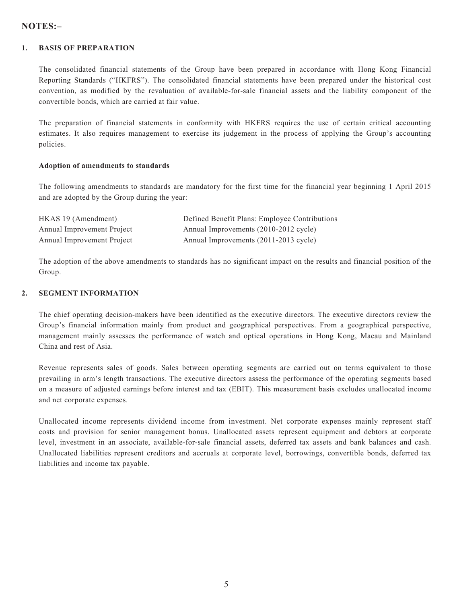# **NOTES:–**

#### **1. BASIS OF PREPARATION**

The consolidated financial statements of the Group have been prepared in accordance with Hong Kong Financial Reporting Standards ("HKFRS"). The consolidated financial statements have been prepared under the historical cost convention, as modified by the revaluation of available-for-sale financial assets and the liability component of the convertible bonds, which are carried at fair value.

The preparation of financial statements in conformity with HKFRS requires the use of certain critical accounting estimates. It also requires management to exercise its judgement in the process of applying the Group's accounting policies.

#### **Adoption of amendments to standards**

The following amendments to standards are mandatory for the first time for the financial year beginning 1 April 2015 and are adopted by the Group during the year:

| HKAS 19 (Amendment)        | Defined Benefit Plans: Employee Contributions |
|----------------------------|-----------------------------------------------|
| Annual Improvement Project | Annual Improvements (2010-2012 cycle)         |
| Annual Improvement Project | Annual Improvements (2011-2013 cycle)         |

The adoption of the above amendments to standards has no significant impact on the results and financial position of the Group.

#### **2. SEGMENT INFORMATION**

The chief operating decision-makers have been identified as the executive directors. The executive directors review the Group's financial information mainly from product and geographical perspectives. From a geographical perspective, management mainly assesses the performance of watch and optical operations in Hong Kong, Macau and Mainland China and rest of Asia.

Revenue represents sales of goods. Sales between operating segments are carried out on terms equivalent to those prevailing in arm's length transactions. The executive directors assess the performance of the operating segments based on a measure of adjusted earnings before interest and tax (EBIT). This measurement basis excludes unallocated income and net corporate expenses.

Unallocated income represents dividend income from investment. Net corporate expenses mainly represent staff costs and provision for senior management bonus. Unallocated assets represent equipment and debtors at corporate level, investment in an associate, available-for-sale financial assets, deferred tax assets and bank balances and cash. Unallocated liabilities represent creditors and accruals at corporate level, borrowings, convertible bonds, deferred tax liabilities and income tax payable.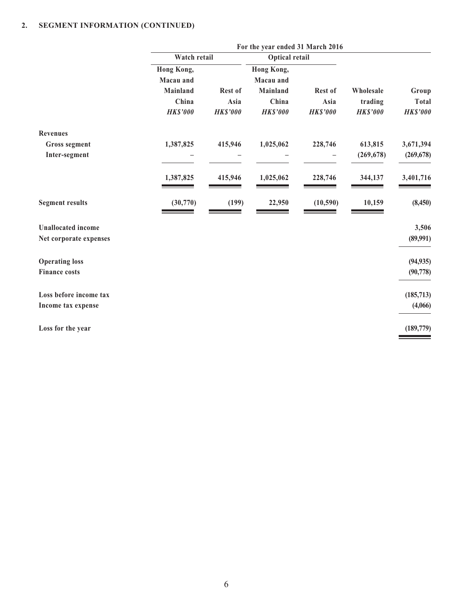|                           | For the year ended 31 March 2016 |                 |                       |                 |                 |                 |
|---------------------------|----------------------------------|-----------------|-----------------------|-----------------|-----------------|-----------------|
|                           | Watch retail                     |                 | <b>Optical retail</b> |                 |                 |                 |
|                           | Hong Kong,                       |                 | Hong Kong,            |                 |                 |                 |
|                           | Macau and                        |                 | Macau and             |                 |                 |                 |
|                           | <b>Mainland</b>                  | Rest of         | <b>Mainland</b>       | Rest of         | Wholesale       | Group           |
|                           | China                            | Asia            | China                 | Asia            | trading         | <b>Total</b>    |
|                           | <b>HK\$'000</b>                  | <b>HK\$'000</b> | <b>HK\$'000</b>       | <b>HK\$'000</b> | <b>HK\$'000</b> | <b>HK\$'000</b> |
| <b>Revenues</b>           |                                  |                 |                       |                 |                 |                 |
| <b>Gross segment</b>      | 1,387,825                        | 415,946         | 1,025,062             | 228,746         | 613,815         | 3,671,394       |
| Inter-segment             |                                  |                 |                       |                 | (269, 678)      | (269, 678)      |
|                           | 1,387,825                        | 415,946         | 1,025,062             | 228,746         | 344,137         | 3,401,716       |
| <b>Segment results</b>    | (30,770)                         | (199)           | 22,950                | (10, 590)       | 10,159          | (8,450)         |
| <b>Unallocated</b> income |                                  |                 |                       |                 |                 | 3,506           |
| Net corporate expenses    |                                  |                 |                       |                 |                 | (89,991)        |
| <b>Operating loss</b>     |                                  |                 |                       |                 |                 | (94, 935)       |
| <b>Finance costs</b>      |                                  |                 |                       |                 |                 | (90, 778)       |
| Loss before income tax    |                                  |                 |                       |                 |                 | (185, 713)      |
| Income tax expense        |                                  |                 |                       |                 |                 | (4,066)         |
| Loss for the year         |                                  |                 |                       |                 |                 | (189,779)       |
|                           |                                  |                 |                       |                 |                 |                 |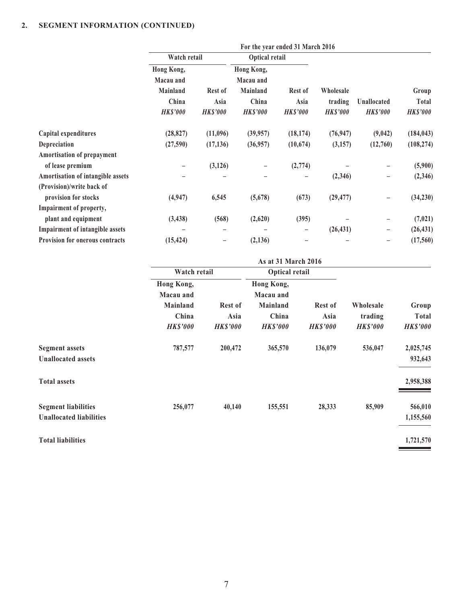|                                   | For the year ended 31 March 2016 |                   |                 |                 |                 |                 |                 |
|-----------------------------------|----------------------------------|-------------------|-----------------|-----------------|-----------------|-----------------|-----------------|
|                                   | Watch retail                     |                   | Optical retail  |                 |                 |                 |                 |
|                                   | Hong Kong,                       |                   | Hong Kong,      |                 |                 |                 |                 |
|                                   | Macau and                        |                   | Macau and       |                 |                 |                 |                 |
|                                   | Mainland                         | Rest of           | Mainland        | <b>Rest of</b>  | Wholesale       |                 | Group           |
|                                   | China                            | Asia              | China           | Asia            | trading         | Unallocated     | Total           |
|                                   | <b>HK\$'000</b>                  | <b>HK\$'000</b>   | <b>HK\$'000</b> | <b>HK\$'000</b> | <b>HK\$'000</b> | <b>HK\$'000</b> | <b>HK\$'000</b> |
| Capital expenditures              | (28, 827)                        | (11,096)          | (39, 957)       | (18, 174)       | (76, 947)       | (9,042)         | (184, 043)      |
| Depreciation                      | (27,590)                         | (17, 136)         | (36,957)        | (10,674)        | (3,157)         | (12,760)        | (108, 274)      |
| Amortisation of prepayment        |                                  |                   |                 |                 |                 |                 |                 |
| of lease premium                  |                                  | (3, 126)          |                 | (2,774)         |                 |                 | (5,900)         |
| Amortisation of intangible assets |                                  |                   |                 |                 | (2,346)         | -               | (2, 346)        |
| (Provision)/write back of         |                                  |                   |                 |                 |                 |                 |                 |
| provision for stocks              | (4, 947)                         | 6,545             | (5,678)         | (673)           | (29, 477)       |                 | (34,230)        |
| Impairment of property,           |                                  |                   |                 |                 |                 |                 |                 |
| plant and equipment               | (3, 438)                         | (568)             | (2,620)         | (395)           |                 | -               | (7, 021)        |
| Impairment of intangible assets   |                                  | -                 |                 | -               | (26, 431)       | -               | (26, 431)       |
| Provision for onerous contracts   | (15, 424)                        | $\qquad \qquad -$ | (2, 136)        |                 |                 | -               | (17, 560)       |
|                                   |                                  |                   |                 |                 |                 |                 |                 |

|                                                              |                                              |                        | As at 31 March 2016                          |                        |                      |                       |
|--------------------------------------------------------------|----------------------------------------------|------------------------|----------------------------------------------|------------------------|----------------------|-----------------------|
|                                                              | Watch retail                                 |                        |                                              | <b>Optical retail</b>  |                      |                       |
|                                                              | Hong Kong,<br>Macau and<br>Mainland<br>China | <b>Rest of</b><br>Asia | Hong Kong,<br>Macau and<br>Mainland<br>China | <b>Rest of</b><br>Asia | Wholesale<br>trading | Group<br><b>Total</b> |
|                                                              | <b>HK\$'000</b>                              | <b>HK\$'000</b>        | <b>HK\$'000</b>                              | <b>HK\$'000</b>        | <b>HK\$'000</b>      | <b>HK\$'000</b>       |
| <b>Segment assets</b><br><b>Unallocated assets</b>           | 787,577                                      | 200,472                | 365,570                                      | 136,079                | 536,047              | 2,025,745<br>932,643  |
| <b>Total assets</b>                                          |                                              |                        |                                              |                        |                      | 2,958,388             |
| <b>Segment liabilities</b><br><b>Unallocated liabilities</b> | 256,077                                      | 40,140                 | 155,551                                      | 28,333                 | 85,909               | 566,010<br>1,155,560  |
| <b>Total liabilities</b>                                     |                                              |                        |                                              |                        |                      | 1,721,570             |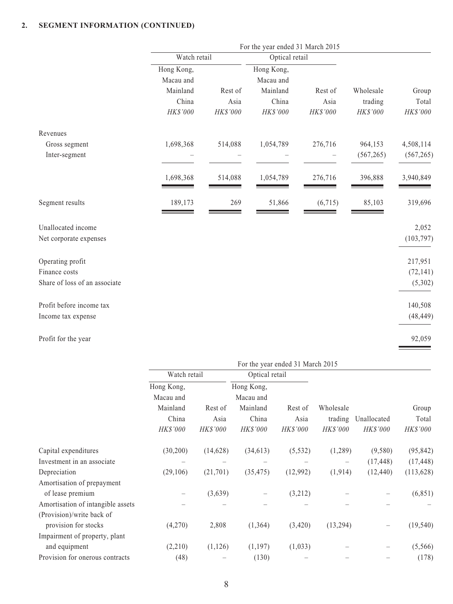| For the year ended 31 March 2015 |          |              |          |                |            |
|----------------------------------|----------|--------------|----------|----------------|------------|
|                                  |          |              |          |                |            |
| Hong Kong,                       |          | Hong Kong,   |          |                |            |
| Macau and                        |          | Macau and    |          |                |            |
| Mainland                         | Rest of  | Mainland     | Rest of  | Wholesale      | Group      |
| China                            | Asia     | China        | Asia     | trading        | Total      |
| HK\$'000                         | HK\$'000 | HK\$'000     | HK\$'000 | HK\$'000       | HK\$'000   |
|                                  |          |              |          |                |            |
| 1,698,368                        | 514,088  | 1,054,789    | 276,716  | 964,153        | 4,508,114  |
|                                  |          |              |          | (567, 265)     | (567, 265) |
| 1,698,368                        | 514,088  | 1,054,789    | 276,716  | 396,888        | 3,940,849  |
| 189,173                          | 269      | 51,866       | (6,715)  | 85,103         | 319,696    |
|                                  |          |              |          |                | 2,052      |
|                                  |          |              |          |                | (103, 797) |
|                                  |          |              |          |                | 217,951    |
|                                  |          |              |          |                | (72, 141)  |
|                                  |          |              |          |                | (5,302)    |
|                                  |          |              |          |                | 140,508    |
|                                  |          |              |          |                | (48, 449)  |
|                                  |          |              |          |                | 92,059     |
|                                  |          | Watch retail |          | Optical retail |            |

|                                   | For the year ended 31 March 2015 |           |                |          |                 |             |            |
|-----------------------------------|----------------------------------|-----------|----------------|----------|-----------------|-------------|------------|
|                                   | Watch retail                     |           | Optical retail |          |                 |             |            |
|                                   | Hong Kong,                       |           | Hong Kong,     |          |                 |             |            |
|                                   | Macau and                        |           | Macau and      |          |                 |             |            |
|                                   | Mainland                         | Rest of   | Mainland       | Rest of  | Wholesale       |             | Group      |
|                                   | China                            | Asia      | China          | Asia     | trading         | Unallocated | Total      |
|                                   | HK\$'000                         | HK\$'000  | HK\$'000       | HK\$'000 | <b>HK\$'000</b> | HK\$'000    | HK\$'000   |
| Capital expenditures              | (30,200)                         | (14, 628) | (34, 613)      | (5, 532) | (1,289)         | (9,580)     | (95, 842)  |
| Investment in an associate        |                                  |           |                |          |                 | (17, 448)   | (17, 448)  |
| Depreciation                      | (29,106)                         | (21,701)  | (35, 475)      | (12,992) | (1, 914)        | (12, 440)   | (113, 628) |
| Amortisation of prepayment        |                                  |           |                |          |                 |             |            |
| of lease premium                  | —                                | (3,639)   |                | (3,212)  |                 |             | (6, 851)   |
| Amortisation of intangible assets |                                  |           |                |          |                 |             |            |
| (Provision)/write back of         |                                  |           |                |          |                 |             |            |
| provision for stocks              | (4,270)                          | 2,808     | (1, 364)       | (3,420)  | (13,294)        |             | (19, 540)  |
| Impairment of property, plant     |                                  |           |                |          |                 |             |            |
| and equipment                     | (2,210)                          | (1,126)   | (1, 197)       | (1,033)  |                 |             | (5, 566)   |
| Provision for onerous contracts   | (48)                             |           | (130)          |          |                 |             | (178)      |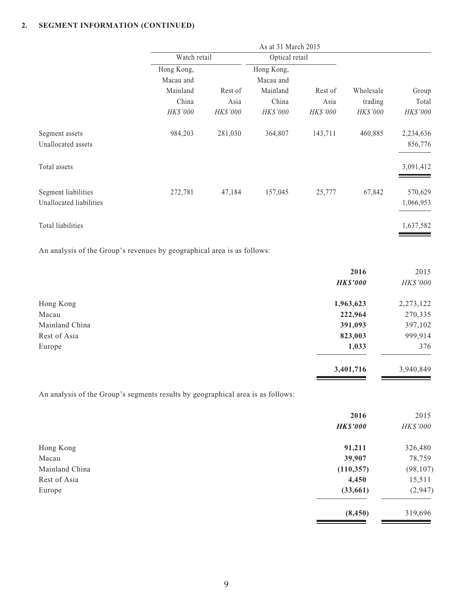| Watch retail |                 |                 | Optical retail  |                     |           |
|--------------|-----------------|-----------------|-----------------|---------------------|-----------|
| Hong Kong,   |                 | Hong Kong,      |                 |                     |           |
| Macau and    |                 | Macau and       |                 |                     |           |
| Mainland     | Rest of         | Mainland        | Rest of         | Wholesale           | Group     |
| China        | Asia            | China           | Asia            | trading             | Total     |
| HK\$'000     | <b>HK\$'000</b> | <b>HK\$'000</b> | <b>HK\$'000</b> | <b>HK\$'000</b>     | HK\$'000  |
| 984,203      | 281,030         | 364,807         | 143,711         | 460,885             | 2,234,636 |
|              |                 |                 |                 |                     | 856,776   |
|              |                 |                 |                 |                     | 3,091,412 |
| 272,781      | 47,184          | 157,045         | 25,777          | 67,842              | 570,629   |
|              |                 |                 |                 |                     | 1,066,953 |
|              |                 |                 |                 |                     | 1,637,582 |
|              |                 |                 |                 | As at 31 March 2015 |           |

An analysis of the Group's revenues by geographical area is as follows:

|                | 2016            | 2015      |
|----------------|-----------------|-----------|
|                | <b>HK\$'000</b> | HK\$'000  |
| Hong Kong      | 1,963,623       | 2,273,122 |
| Macau          | 222,964         | 270,335   |
| Mainland China | 391,093         | 397,102   |
| Rest of Asia   | 823,003         | 999,914   |
| Europe         | 1,033           | 376       |
|                | 3,401,716       | 3,940,849 |

An analysis of the Group's segments results by geographical area is as follows:

|                | 2016            | 2015      |
|----------------|-----------------|-----------|
|                | <b>HK\$'000</b> | HK\$'000  |
| Hong Kong      | 91,211          | 326,480   |
| Macau          | 39,907          | 78,759    |
| Mainland China | (110, 357)      | (98, 107) |
| Rest of Asia   | 4,450           | 15,511    |
| Europe         | (33,661)        | (2,947)   |
|                | (8, 450)        | 319,696   |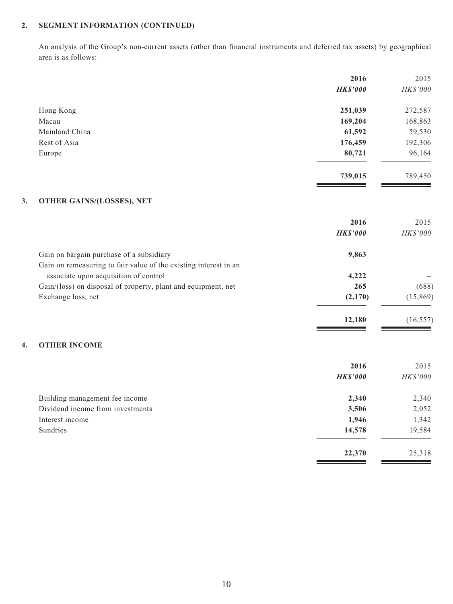An analysis of the Group's non-current assets (other than financial instruments and deferred tax assets) by geographical area is as follows:

|                | 2016            | 2015     |
|----------------|-----------------|----------|
|                | <b>HK\$'000</b> | HK\$'000 |
| Hong Kong      | 251,039         | 272,587  |
| Macau          | 169,204         | 168,863  |
| Mainland China | 61,592          | 59,530   |
| Rest of Asia   | 176,459         | 192,306  |
| Europe         | 80,721          | 96,164   |
|                | 739,015         | 789,450  |
|                |                 |          |

### **3. OTHER GAINS/(LOSSES), NET**

|                                                                  | 2016            | 2015            |
|------------------------------------------------------------------|-----------------|-----------------|
|                                                                  | <b>HK\$'000</b> | <i>HK\$'000</i> |
| Gain on bargain purchase of a subsidiary                         | 9,863           |                 |
| Gain on remeasuring to fair value of the existing interest in an |                 |                 |
| associate upon acquisition of control                            | 4,222           |                 |
| Gain/(loss) on disposal of property, plant and equipment, net    | 265             | (688)           |
| Exchange loss, net                                               | (2,170)         | (15, 869)       |
|                                                                  | 12.180          | (16, 557)       |

<u> The Common State</u>

<u> The Common State</u>

### **4. OTHER INCOME**

|                                  | 2016            | 2015     |
|----------------------------------|-----------------|----------|
|                                  | <b>HK\$'000</b> | HK\$'000 |
| Building management fee income   | 2,340           | 2,340    |
| Dividend income from investments | 3,506           | 2,052    |
| Interest income                  | 1,946           | 1,342    |
| Sundries                         | 14,578          | 19,584   |
|                                  | 22,370          | 25,318   |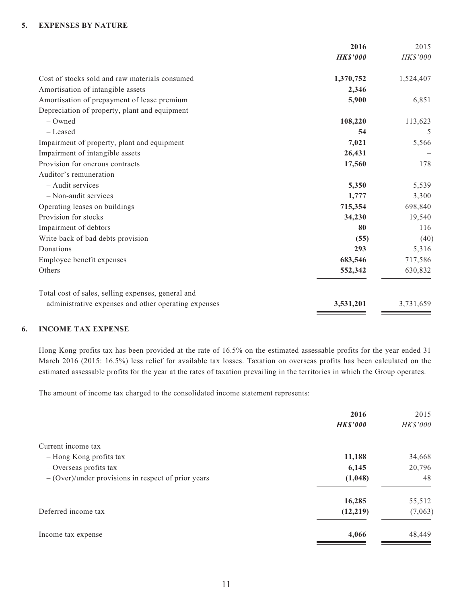#### **5. EXPENSES BY NATURE**

|                                                      | 2016            | 2015      |
|------------------------------------------------------|-----------------|-----------|
|                                                      | <b>HK\$'000</b> | HK\$'000  |
| Cost of stocks sold and raw materials consumed       | 1,370,752       | 1,524,407 |
| Amortisation of intangible assets                    | 2,346           |           |
| Amortisation of prepayment of lease premium          | 5,900           | 6,851     |
| Depreciation of property, plant and equipment        |                 |           |
| $-$ Owned                                            | 108,220         | 113,623   |
| - Leased                                             | 54              | 5         |
| Impairment of property, plant and equipment          | 7,021           | 5,566     |
| Impairment of intangible assets                      | 26,431          |           |
| Provision for onerous contracts                      | 17,560          | 178       |
| Auditor's remuneration                               |                 |           |
| - Audit services                                     | 5,350           | 5,539     |
| - Non-audit services                                 | 1,777           | 3,300     |
| Operating leases on buildings                        | 715,354         | 698,840   |
| Provision for stocks                                 | 34,230          | 19,540    |
| Impairment of debtors                                | 80              | 116       |
| Write back of bad debts provision                    | (55)            | (40)      |
| Donations                                            | 293             | 5,316     |
| Employee benefit expenses                            | 683,546         | 717,586   |
| Others                                               | 552,342         | 630,832   |
| Total cost of sales, selling expenses, general and   |                 |           |
| administrative expenses and other operating expenses | 3,531,201       | 3,731,659 |

#### **6. INCOME TAX EXPENSE**

Hong Kong profits tax has been provided at the rate of 16.5% on the estimated assessable profits for the year ended 31 March 2016 (2015: 16.5%) less relief for available tax losses. Taxation on overseas profits has been calculated on the estimated assessable profits for the year at the rates of taxation prevailing in the territories in which the Group operates.

The amount of income tax charged to the consolidated income statement represents:

| 2016            | 2015            |
|-----------------|-----------------|
| <b>HK\$'000</b> | <b>HK\$'000</b> |
|                 |                 |
| 11,188          | 34,668          |
| 6,145           | 20,796          |
| (1,048)         | 48              |
| 16,285          | 55,512          |
| (12,219)        | (7,063)         |
| 4,066           | 48,449          |
|                 |                 |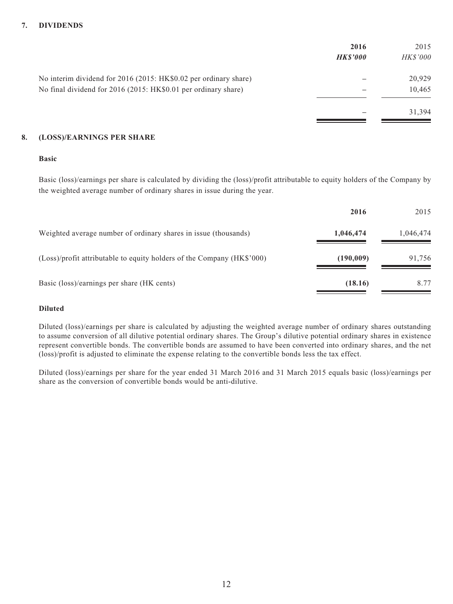### **7. DIVIDENDS**

|                                                                  | 2016           | 2015            |
|------------------------------------------------------------------|----------------|-----------------|
|                                                                  | <b>HKS'000</b> | <b>HK\$'000</b> |
| No interim dividend for 2016 (2015: HK\$0.02 per ordinary share) |                | 20,929          |
| No final dividend for 2016 (2015: HK\$0.01 per ordinary share)   |                | 10,465          |
|                                                                  |                | 31,394          |

#### **8. (LOSS)/EARNINGS PER SHARE**

#### **Basic**

Basic (loss)/earnings per share is calculated by dividing the (loss)/profit attributable to equity holders of the Company by the weighted average number of ordinary shares in issue during the year.

|                                                                        | 2016      | 2015      |
|------------------------------------------------------------------------|-----------|-----------|
| Weighted average number of ordinary shares in issue (thousands)        | 1,046,474 | 1,046,474 |
| (Loss)/profit attributable to equity holders of the Company (HK\$'000) | (190,009) | 91,756    |
| Basic (loss)/earnings per share (HK cents)                             | (18.16)   | 8.77      |

### **Diluted**

Diluted (loss)/earnings per share is calculated by adjusting the weighted average number of ordinary shares outstanding to assume conversion of all dilutive potential ordinary shares. The Group's dilutive potential ordinary shares in existence represent convertible bonds. The convertible bonds are assumed to have been converted into ordinary shares, and the net (loss)/profit is adjusted to eliminate the expense relating to the convertible bonds less the tax effect.

Diluted (loss)/earnings per share for the year ended 31 March 2016 and 31 March 2015 equals basic (loss)/earnings per share as the conversion of convertible bonds would be anti-dilutive.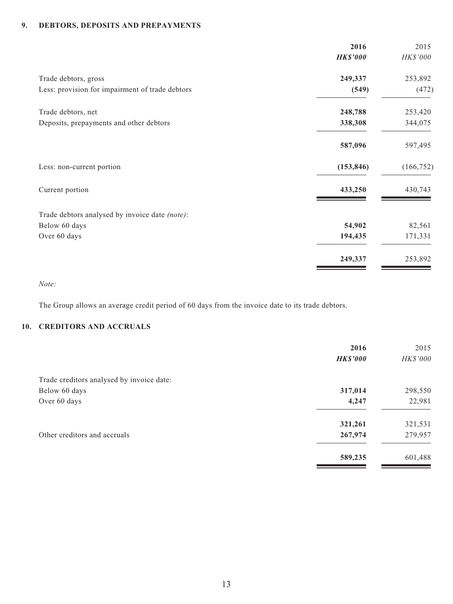# **9. DEBTORS, DEPOSITS AND PREPAYMENTS**

|                                                 | 2016<br><b>HK\$'000</b> | 2015<br>HK\$'000 |
|-------------------------------------------------|-------------------------|------------------|
| Trade debtors, gross                            | 249,337                 | 253,892          |
| Less: provision for impairment of trade debtors | (549)                   | (472)            |
| Trade debtors, net                              | 248,788                 | 253,420          |
| Deposits, prepayments and other debtors         | 338,308                 | 344,075          |
|                                                 | 587,096                 | 597,495          |
| Less: non-current portion                       | (153, 846)              | (166, 752)       |
| Current portion                                 | 433,250                 | 430,743          |
| Trade debtors analysed by invoice date (note):  |                         |                  |
| Below 60 days                                   | 54,902                  | 82,561           |
| Over 60 days                                    | 194,435                 | 171,331          |
|                                                 | 249,337                 | 253,892          |

*Note:*

The Group allows an average credit period of 60 days from the invoice date to its trade debtors.

# **10. CREDITORS AND ACCRUALS**

|                                           | 2016<br><b>HK\$'000</b> | 2015<br>HK\$'000 |
|-------------------------------------------|-------------------------|------------------|
| Trade creditors analysed by invoice date: |                         |                  |
| Below 60 days                             | 317,014                 | 298,550          |
| Over 60 days                              | 4,247                   | 22,981           |
|                                           | 321,261                 | 321,531          |
| Other creditors and accruals              | 267,974                 | 279,957          |
|                                           | 589,235                 | 601,488          |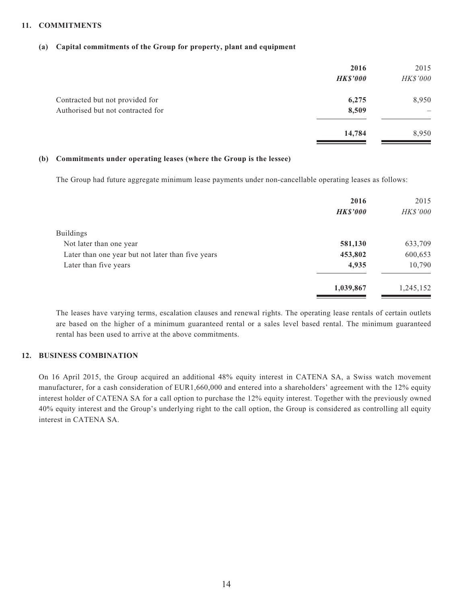#### **11. COMMITMENTS**

#### **(a) Capital commitments of the Group for property, plant and equipment**

|                                   | 2016<br><b>HK\$'000</b> | 2015<br>HK\$'000 |
|-----------------------------------|-------------------------|------------------|
| Contracted but not provided for   | 6,275                   | 8,950            |
| Authorised but not contracted for | 8,509                   |                  |
|                                   | 14,784                  | 8,950            |

#### **(b) Commitments under operating leases (where the Group is the lessee)**

The Group had future aggregate minimum lease payments under non-cancellable operating leases as follows:

|                                                   | 2016            | 2015            |
|---------------------------------------------------|-----------------|-----------------|
|                                                   | <b>HK\$'000</b> | <b>HK\$'000</b> |
| <b>Buildings</b>                                  |                 |                 |
| Not later than one year                           | 581,130         | 633,709         |
| Later than one year but not later than five years | 453,802         | 600,653         |
| Later than five years                             | 4,935           | 10,790          |
|                                                   | 1,039,867       | 1,245,152       |

The leases have varying terms, escalation clauses and renewal rights. The operating lease rentals of certain outlets are based on the higher of a minimum guaranteed rental or a sales level based rental. The minimum guaranteed rental has been used to arrive at the above commitments.

### **12. BUSINESS COMBINATION**

On 16 April 2015, the Group acquired an additional 48% equity interest in CATENA SA, a Swiss watch movement manufacturer, for a cash consideration of EUR1,660,000 and entered into a shareholders' agreement with the 12% equity interest holder of CATENA SA for a call option to purchase the 12% equity interest. Together with the previously owned 40% equity interest and the Group's underlying right to the call option, the Group is considered as controlling all equity interest in CATENA SA.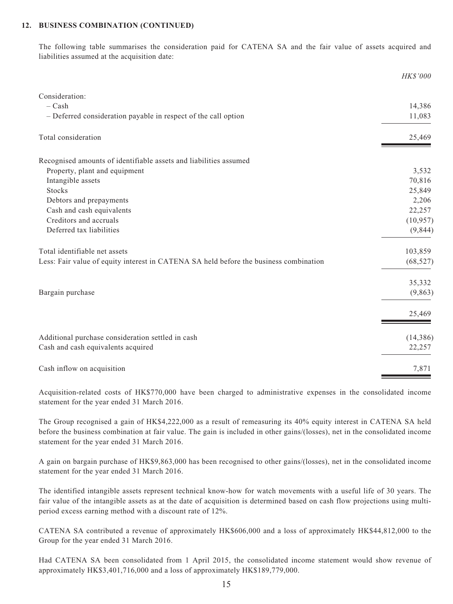#### **12. BUSINESS COMBINATION (CONTINUED)**

The following table summarises the consideration paid for CATENA SA and the fair value of assets acquired and liabilities assumed at the acquisition date:

|                                                                                       | <b>HK\$'000</b> |
|---------------------------------------------------------------------------------------|-----------------|
| Consideration:                                                                        |                 |
| $-$ Cash                                                                              | 14,386          |
| - Deferred consideration payable in respect of the call option                        | 11,083          |
| Total consideration                                                                   | 25,469          |
| Recognised amounts of identifiable assets and liabilities assumed                     |                 |
| Property, plant and equipment                                                         | 3,532           |
| Intangible assets                                                                     | 70,816          |
| <b>Stocks</b>                                                                         | 25,849          |
| Debtors and prepayments                                                               | 2,206           |
| Cash and cash equivalents                                                             | 22,257          |
| Creditors and accruals                                                                | (10, 957)       |
| Deferred tax liabilities                                                              | (9, 844)        |
| Total identifiable net assets                                                         | 103,859         |
| Less: Fair value of equity interest in CATENA SA held before the business combination | (68, 527)       |
|                                                                                       | 35,332          |
| Bargain purchase                                                                      | (9,863)         |
|                                                                                       | 25,469          |
| Additional purchase consideration settled in cash                                     | (14, 386)       |
| Cash and cash equivalents acquired                                                    | 22,257          |
| Cash inflow on acquisition                                                            | 7,871           |

Acquisition-related costs of HK\$770,000 have been charged to administrative expenses in the consolidated income statement for the year ended 31 March 2016.

The Group recognised a gain of HK\$4,222,000 as a result of remeasuring its 40% equity interest in CATENA SA held before the business combination at fair value. The gain is included in other gains/(losses), net in the consolidated income statement for the year ended 31 March 2016.

A gain on bargain purchase of HK\$9,863,000 has been recognised to other gains/(losses), net in the consolidated income statement for the year ended 31 March 2016.

The identified intangible assets represent technical know-how for watch movements with a useful life of 30 years. The fair value of the intangible assets as at the date of acquisition is determined based on cash flow projections using multiperiod excess earning method with a discount rate of 12%.

CATENA SA contributed a revenue of approximately HK\$606,000 and a loss of approximately HK\$44,812,000 to the Group for the year ended 31 March 2016.

Had CATENA SA been consolidated from 1 April 2015, the consolidated income statement would show revenue of approximately HK\$3,401,716,000 and a loss of approximately HK\$189,779,000.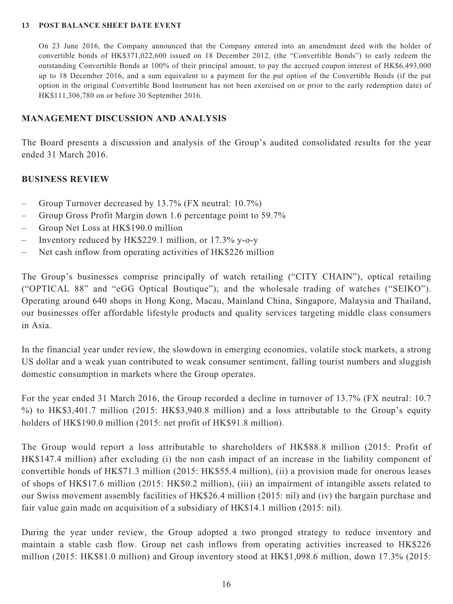#### **13 POST BALANCE SHEET DATE EVENT**

On 23 June 2016, the Company announced that the Company entered into an amendment deed with the holder of convertible bonds of HK\$371,022,600 issued on 18 December 2012, (the "Convertible Bonds") to early redeem the outstanding Convertible Bonds at 100% of their principal amount, to pay the accrued coupon interest of HK\$6,493,000 up to 18 December 2016, and a sum equivalent to a payment for the put option of the Convertible Bonds (if the put option in the original Convertible Bond Instrument has not been exercised on or prior to the early redemption date) of HK\$111,306,780 on or before 30 September 2016.

### **MANAGEMENT DISCUSSION AND ANALYSIS**

The Board presents a discussion and analysis of the Group's audited consolidated results for the year ended 31 March 2016.

### **BUSINESS REVIEW**

- Group Turnover decreased by 13.7% (FX neutral: 10.7%)
- Group Gross Profit Margin down 1.6 percentage point to 59.7%
- Group Net Loss at HK\$190.0 million
- Inventory reduced by HK\$229.1 million, or 17.3% y-o-y
- Net cash inflow from operating activities of HK\$226 million

The Group's businesses comprise principally of watch retailing ("CITY CHAIN"), optical retailing ("OPTICAL 88" and "eGG Optical Boutique"); and the wholesale trading of watches ("SEIKO"). Operating around 640 shops in Hong Kong, Macau, Mainland China, Singapore, Malaysia and Thailand, our businesses offer affordable lifestyle products and quality services targeting middle class consumers in Asia.

In the financial year under review, the slowdown in emerging economies, volatile stock markets, a strong US dollar and a weak yuan contributed to weak consumer sentiment, falling tourist numbers and sluggish domestic consumption in markets where the Group operates.

For the year ended 31 March 2016, the Group recorded a decline in turnover of 13.7% (FX neutral: 10.7 %) to HK\$3,401.7 million (2015: HK\$3,940.8 million) and a loss attributable to the Group's equity holders of HK\$190.0 million (2015: net profit of HK\$91.8 million).

The Group would report a loss attributable to shareholders of HK\$88.8 million (2015: Profit of HK\$147.4 million) after excluding (i) the non cash impact of an increase in the liability component of convertible bonds of HK\$71.3 million (2015: HK\$55.4 million), (ii) a provision made for onerous leases of shops of HK\$17.6 million (2015: HK\$0.2 million), (iii) an impairment of intangible assets related to our Swiss movement assembly facilities of HK\$26.4 million (2015: nil) and (iv) the bargain purchase and fair value gain made on acquisition of a subsidiary of HK\$14.1 million (2015: nil).

During the year under review, the Group adopted a two pronged strategy to reduce inventory and maintain a stable cash flow. Group net cash inflows from operating activities increased to HK\$226 million (2015: HK\$81.0 million) and Group inventory stood at HK\$1,098.6 million, down 17.3% (2015: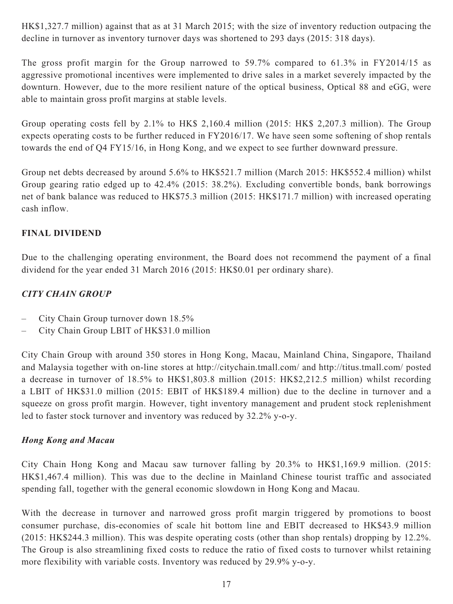HK\$1,327.7 million) against that as at 31 March 2015; with the size of inventory reduction outpacing the decline in turnover as inventory turnover days was shortened to 293 days (2015: 318 days).

The gross profit margin for the Group narrowed to 59.7% compared to 61.3% in FY2014/15 as aggressive promotional incentives were implemented to drive sales in a market severely impacted by the downturn. However, due to the more resilient nature of the optical business, Optical 88 and eGG, were able to maintain gross profit margins at stable levels.

Group operating costs fell by 2.1% to HK\$ 2,160.4 million (2015: HK\$ 2,207.3 million). The Group expects operating costs to be further reduced in FY2016/17. We have seen some softening of shop rentals towards the end of Q4 FY15/16, in Hong Kong, and we expect to see further downward pressure.

Group net debts decreased by around 5.6% to HK\$521.7 million (March 2015: HK\$552.4 million) whilst Group gearing ratio edged up to 42.4% (2015: 38.2%). Excluding convertible bonds, bank borrowings net of bank balance was reduced to HK\$75.3 million (2015: HK\$171.7 million) with increased operating cash inflow.

# **FINAL DIVIDEND**

Due to the challenging operating environment, the Board does not recommend the payment of a final dividend for the year ended 31 March 2016 (2015: HK\$0.01 per ordinary share).

# *CITY CHAIN GROUP*

- City Chain Group turnover down 18.5%
- City Chain Group LBIT of HK\$31.0 million

City Chain Group with around 350 stores in Hong Kong, Macau, Mainland China, Singapore, Thailand and Malaysia together with on-line stores at http://citychain.tmall.com/ and http://titus.tmall.com/ posted a decrease in turnover of 18.5% to HK\$1,803.8 million (2015: HK\$2,212.5 million) whilst recording a LBIT of HK\$31.0 million (2015: EBIT of HK\$189.4 million) due to the decline in turnover and a squeeze on gross profit margin. However, tight inventory management and prudent stock replenishment led to faster stock turnover and inventory was reduced by 32.2% y-o-y.

# *Hong Kong and Macau*

City Chain Hong Kong and Macau saw turnover falling by 20.3% to HK\$1,169.9 million. (2015: HK\$1,467.4 million). This was due to the decline in Mainland Chinese tourist traffic and associated spending fall, together with the general economic slowdown in Hong Kong and Macau.

With the decrease in turnover and narrowed gross profit margin triggered by promotions to boost consumer purchase, dis-economies of scale hit bottom line and EBIT decreased to HK\$43.9 million (2015: HK\$244.3 million). This was despite operating costs (other than shop rentals) dropping by 12.2%. The Group is also streamlining fixed costs to reduce the ratio of fixed costs to turnover whilst retaining more flexibility with variable costs. Inventory was reduced by 29.9% y-o-y.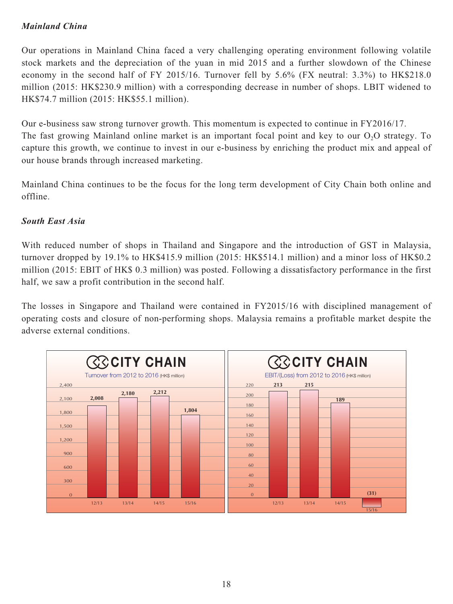# *Mainland China*

Our operations in Mainland China faced a very challenging operating environment following volatile stock markets and the depreciation of the yuan in mid 2015 and a further slowdown of the Chinese economy in the second half of FY 2015/16. Turnover fell by 5.6% (FX neutral: 3.3%) to HK\$218.0 million (2015: HK\$230.9 million) with a corresponding decrease in number of shops. LBIT widened to HK\$74.7 million (2015: HK\$55.1 million).

Our e-business saw strong turnover growth. This momentum is expected to continue in FY2016/17. The fast growing Mainland online market is an important focal point and key to our  $O<sub>2</sub>O$  strategy. To capture this growth, we continue to invest in our e-business by enriching the product mix and appeal of our house brands through increased marketing.

Mainland China continues to be the focus for the long term development of City Chain both online and offline.

# *South East Asia*

With reduced number of shops in Thailand and Singapore and the introduction of GST in Malaysia, turnover dropped by 19.1% to HK\$415.9 million (2015: HK\$514.1 million) and a minor loss of HK\$0.2 million (2015: EBIT of HK\$ 0.3 million) was posted. Following a dissatisfactory performance in the first half, we saw a profit contribution in the second half.

The losses in Singapore and Thailand were contained in FY2015/16 with disciplined management of operating costs and closure of non-performing shops. Malaysia remains a profitable market despite the adverse external conditions.

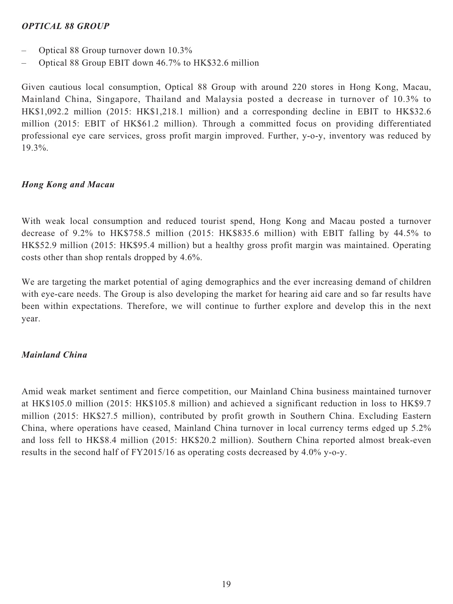## *OPTICAL 88 GROUP*

- Optical 88 Group turnover down 10.3%
- Optical 88 Group EBIT down 46.7% to HK\$32.6 million

Given cautious local consumption, Optical 88 Group with around 220 stores in Hong Kong, Macau, Mainland China, Singapore, Thailand and Malaysia posted a decrease in turnover of 10.3% to HK\$1,092.2 million (2015: HK\$1,218.1 million) and a corresponding decline in EBIT to HK\$32.6 million (2015: EBIT of HK\$61.2 million). Through a committed focus on providing differentiated professional eye care services, gross profit margin improved. Further, y-o-y, inventory was reduced by 19.3%.

### *Hong Kong and Macau*

With weak local consumption and reduced tourist spend, Hong Kong and Macau posted a turnover decrease of 9.2% to HK\$758.5 million (2015: HK\$835.6 million) with EBIT falling by 44.5% to HK\$52.9 million (2015: HK\$95.4 million) but a healthy gross profit margin was maintained. Operating costs other than shop rentals dropped by 4.6%.

We are targeting the market potential of aging demographics and the ever increasing demand of children with eye-care needs. The Group is also developing the market for hearing aid care and so far results have been within expectations. Therefore, we will continue to further explore and develop this in the next year.

# *Mainland China*

Amid weak market sentiment and fierce competition, our Mainland China business maintained turnover at HK\$105.0 million (2015: HK\$105.8 million) and achieved a significant reduction in loss to HK\$9.7 million (2015: HK\$27.5 million), contributed by profit growth in Southern China. Excluding Eastern China, where operations have ceased, Mainland China turnover in local currency terms edged up 5.2% and loss fell to HK\$8.4 million (2015: HK\$20.2 million). Southern China reported almost break-even results in the second half of FY2015/16 as operating costs decreased by 4.0% y-o-y.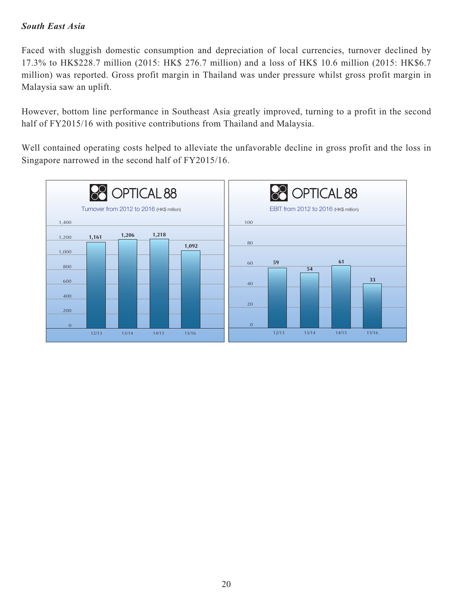# *South East Asia*

Faced with sluggish domestic consumption and depreciation of local currencies, turnover declined by 17.3% to HK\$228.7 million (2015: HK\$ 276.7 million) and a loss of HK\$ 10.6 million (2015: HK\$6.7 million) was reported. Gross profit margin in Thailand was under pressure whilst gross profit margin in Malaysia saw an uplift.

However, bottom line performance in Southeast Asia greatly improved, turning to a profit in the second half of FY2015/16 with positive contributions from Thailand and Malaysia.

Well contained operating costs helped to alleviate the unfavorable decline in gross profit and the loss in Singapore narrowed in the second half of FY2015/16.

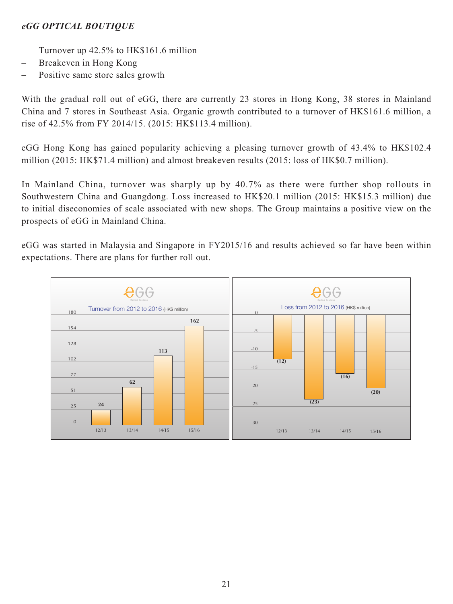# *eGG OPTICAL BOUTIQUE*

- Turnover up 42.5% to HK\$161.6 million
- Breakeven in Hong Kong
- Positive same store sales growth

With the gradual roll out of eGG, there are currently 23 stores in Hong Kong, 38 stores in Mainland China and 7 stores in Southeast Asia. Organic growth contributed to a turnover of HK\$161.6 million, a rise of 42.5% from FY 2014/15. (2015: HK\$113.4 million).

eGG Hong Kong has gained popularity achieving a pleasing turnover growth of 43.4% to HK\$102.4 million (2015: HK\$71.4 million) and almost breakeven results (2015: loss of HK\$0.7 million).

In Mainland China, turnover was sharply up by 40.7% as there were further shop rollouts in Southwestern China and Guangdong. Loss increased to HK\$20.1 million (2015: HK\$15.3 million) due to initial diseconomies of scale associated with new shops. The Group maintains a positive view on the prospects of eGG in Mainland China.

eGG was started in Malaysia and Singapore in FY2015/16 and results achieved so far have been within expectations. There are plans for further roll out.

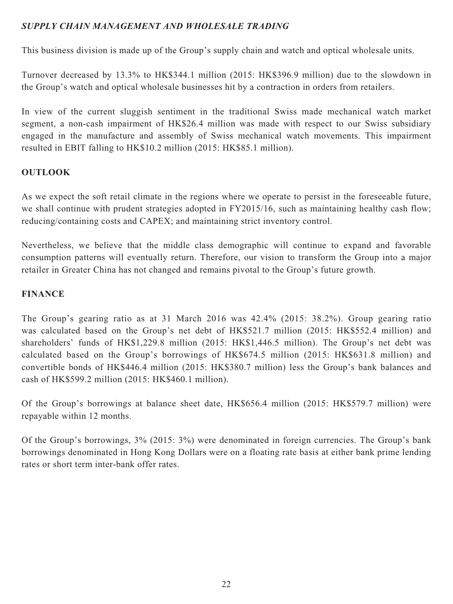# *SUPPLY CHAIN MANAGEMENT AND WHOLESALE TRADING*

This business division is made up of the Group's supply chain and watch and optical wholesale units.

Turnover decreased by 13.3% to HK\$344.1 million (2015: HK\$396.9 million) due to the slowdown in the Group's watch and optical wholesale businesses hit by a contraction in orders from retailers.

In view of the current sluggish sentiment in the traditional Swiss made mechanical watch market segment, a non-cash impairment of HK\$26.4 million was made with respect to our Swiss subsidiary engaged in the manufacture and assembly of Swiss mechanical watch movements. This impairment resulted in EBIT falling to HK\$10.2 million (2015: HK\$85.1 million).

# **OUTLOOK**

As we expect the soft retail climate in the regions where we operate to persist in the foreseeable future, we shall continue with prudent strategies adopted in FY2015/16, such as maintaining healthy cash flow; reducing/containing costs and CAPEX; and maintaining strict inventory control.

Nevertheless, we believe that the middle class demographic will continue to expand and favorable consumption patterns will eventually return. Therefore, our vision to transform the Group into a major retailer in Greater China has not changed and remains pivotal to the Group's future growth.

# **FINANCE**

The Group's gearing ratio as at 31 March 2016 was 42.4% (2015: 38.2%). Group gearing ratio was calculated based on the Group's net debt of HK\$521.7 million (2015: HK\$552.4 million) and shareholders' funds of HK\$1,229.8 million (2015: HK\$1,446.5 million). The Group's net debt was calculated based on the Group's borrowings of HK\$674.5 million (2015: HK\$631.8 million) and convertible bonds of HK\$446.4 million (2015: HK\$380.7 million) less the Group's bank balances and cash of HK\$599.2 million (2015: HK\$460.1 million).

Of the Group's borrowings at balance sheet date, HK\$656.4 million (2015: HK\$579.7 million) were repayable within 12 months.

Of the Group's borrowings, 3% (2015: 3%) were denominated in foreign currencies. The Group's bank borrowings denominated in Hong Kong Dollars were on a floating rate basis at either bank prime lending rates or short term inter-bank offer rates.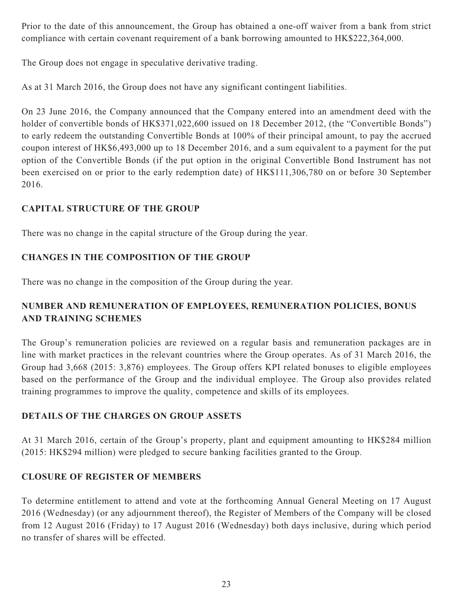Prior to the date of this announcement, the Group has obtained a one-off waiver from a bank from strict compliance with certain covenant requirement of a bank borrowing amounted to HK\$222,364,000.

The Group does not engage in speculative derivative trading.

As at 31 March 2016, the Group does not have any significant contingent liabilities.

On 23 June 2016, the Company announced that the Company entered into an amendment deed with the holder of convertible bonds of HK\$371,022,600 issued on 18 December 2012, (the "Convertible Bonds") to early redeem the outstanding Convertible Bonds at 100% of their principal amount, to pay the accrued coupon interest of HK\$6,493,000 up to 18 December 2016, and a sum equivalent to a payment for the put option of the Convertible Bonds (if the put option in the original Convertible Bond Instrument has not been exercised on or prior to the early redemption date) of HK\$111,306,780 on or before 30 September 2016.

# **CAPITAL STRUCTURE OF THE GROUP**

There was no change in the capital structure of the Group during the year.

# **CHANGES IN THE COMPOSITION OF THE GROUP**

There was no change in the composition of the Group during the year.

# **NUMBER AND REMUNERATION OF EMPLOYEES, REMUNERATION POLICIES, BONUS AND TRAINING SCHEMES**

The Group's remuneration policies are reviewed on a regular basis and remuneration packages are in line with market practices in the relevant countries where the Group operates. As of 31 March 2016, the Group had 3,668 (2015: 3,876) employees. The Group offers KPI related bonuses to eligible employees based on the performance of the Group and the individual employee. The Group also provides related training programmes to improve the quality, competence and skills of its employees.

# **DETAILS OF THE CHARGES ON GROUP ASSETS**

At 31 March 2016, certain of the Group's property, plant and equipment amounting to HK\$284 million (2015: HK\$294 million) were pledged to secure banking facilities granted to the Group.

# **CLOSURE OF REGISTER OF MEMBERS**

To determine entitlement to attend and vote at the forthcoming Annual General Meeting on 17 August 2016 (Wednesday) (or any adjournment thereof), the Register of Members of the Company will be closed from 12 August 2016 (Friday) to 17 August 2016 (Wednesday) both days inclusive, during which period no transfer of shares will be effected.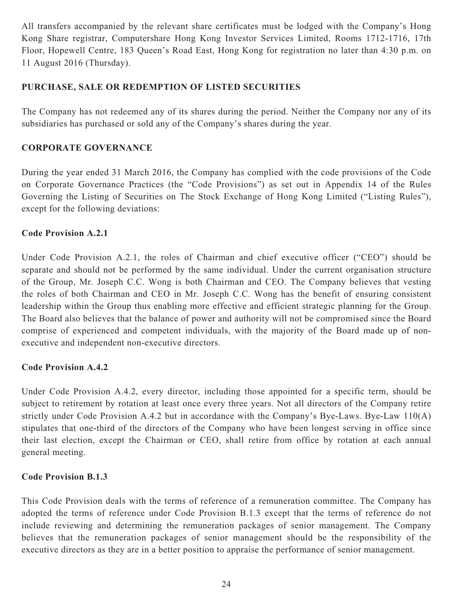All transfers accompanied by the relevant share certificates must be lodged with the Company's Hong Kong Share registrar, Computershare Hong Kong Investor Services Limited, Rooms 1712-1716, 17th Floor, Hopewell Centre, 183 Queen's Road East, Hong Kong for registration no later than 4:30 p.m. on 11 August 2016 (Thursday).

# **PURCHASE, SALE OR REDEMPTION OF LISTED SECURITIES**

The Company has not redeemed any of its shares during the period. Neither the Company nor any of its subsidiaries has purchased or sold any of the Company's shares during the year.

# **CORPORATE GOVERNANCE**

During the year ended 31 March 2016, the Company has complied with the code provisions of the Code on Corporate Governance Practices (the "Code Provisions") as set out in Appendix 14 of the Rules Governing the Listing of Securities on The Stock Exchange of Hong Kong Limited ("Listing Rules"), except for the following deviations:

# **Code Provision A.2.1**

Under Code Provision A.2.1, the roles of Chairman and chief executive officer ("CEO") should be separate and should not be performed by the same individual. Under the current organisation structure of the Group, Mr. Joseph C.C. Wong is both Chairman and CEO. The Company believes that vesting the roles of both Chairman and CEO in Mr. Joseph C.C. Wong has the benefit of ensuring consistent leadership within the Group thus enabling more effective and efficient strategic planning for the Group. The Board also believes that the balance of power and authority will not be compromised since the Board comprise of experienced and competent individuals, with the majority of the Board made up of nonexecutive and independent non-executive directors.

# **Code Provision A.4.2**

Under Code Provision A.4.2, every director, including those appointed for a specific term, should be subject to retirement by rotation at least once every three years. Not all directors of the Company retire strictly under Code Provision A.4.2 but in accordance with the Company's Bye-Laws. Bye-Law 110(A) stipulates that one-third of the directors of the Company who have been longest serving in office since their last election, except the Chairman or CEO, shall retire from office by rotation at each annual general meeting.

# **Code Provision B.1.3**

This Code Provision deals with the terms of reference of a remuneration committee. The Company has adopted the terms of reference under Code Provision B.1.3 except that the terms of reference do not include reviewing and determining the remuneration packages of senior management. The Company believes that the remuneration packages of senior management should be the responsibility of the executive directors as they are in a better position to appraise the performance of senior management.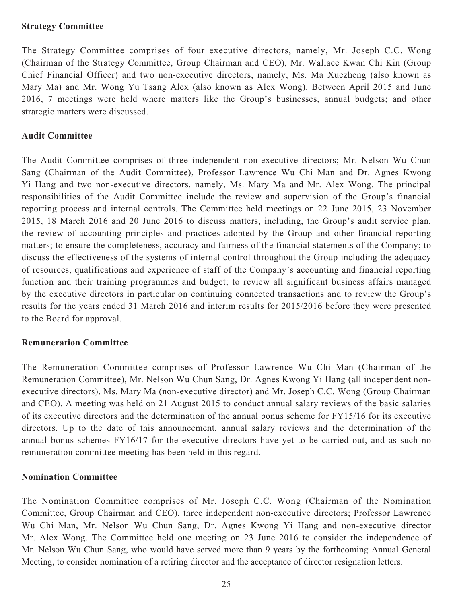### **Strategy Committee**

The Strategy Committee comprises of four executive directors, namely, Mr. Joseph C.C. Wong (Chairman of the Strategy Committee, Group Chairman and CEO), Mr. Wallace Kwan Chi Kin (Group Chief Financial Officer) and two non-executive directors, namely, Ms. Ma Xuezheng (also known as Mary Ma) and Mr. Wong Yu Tsang Alex (also known as Alex Wong). Between April 2015 and June 2016, 7 meetings were held where matters like the Group's businesses, annual budgets; and other strategic matters were discussed.

### **Audit Committee**

The Audit Committee comprises of three independent non-executive directors; Mr. Nelson Wu Chun Sang (Chairman of the Audit Committee), Professor Lawrence Wu Chi Man and Dr. Agnes Kwong Yi Hang and two non-executive directors, namely, Ms. Mary Ma and Mr. Alex Wong. The principal responsibilities of the Audit Committee include the review and supervision of the Group's financial reporting process and internal controls. The Committee held meetings on 22 June 2015, 23 November 2015, 18 March 2016 and 20 June 2016 to discuss matters, including, the Group's audit service plan, the review of accounting principles and practices adopted by the Group and other financial reporting matters; to ensure the completeness, accuracy and fairness of the financial statements of the Company; to discuss the effectiveness of the systems of internal control throughout the Group including the adequacy of resources, qualifications and experience of staff of the Company's accounting and financial reporting function and their training programmes and budget; to review all significant business affairs managed by the executive directors in particular on continuing connected transactions and to review the Group's results for the years ended 31 March 2016 and interim results for 2015/2016 before they were presented to the Board for approval.

# **Remuneration Committee**

The Remuneration Committee comprises of Professor Lawrence Wu Chi Man (Chairman of the Remuneration Committee), Mr. Nelson Wu Chun Sang, Dr. Agnes Kwong Yi Hang (all independent nonexecutive directors), Ms. Mary Ma (non-executive director) and Mr. Joseph C.C. Wong (Group Chairman and CEO). A meeting was held on 21 August 2015 to conduct annual salary reviews of the basic salaries of its executive directors and the determination of the annual bonus scheme for FY15/16 for its executive directors. Up to the date of this announcement, annual salary reviews and the determination of the annual bonus schemes FY16/17 for the executive directors have yet to be carried out, and as such no remuneration committee meeting has been held in this regard.

### **Nomination Committee**

The Nomination Committee comprises of Mr. Joseph C.C. Wong (Chairman of the Nomination Committee, Group Chairman and CEO), three independent non-executive directors; Professor Lawrence Wu Chi Man, Mr. Nelson Wu Chun Sang, Dr. Agnes Kwong Yi Hang and non-executive director Mr. Alex Wong. The Committee held one meeting on 23 June 2016 to consider the independence of Mr. Nelson Wu Chun Sang, who would have served more than 9 years by the forthcoming Annual General Meeting, to consider nomination of a retiring director and the acceptance of director resignation letters.